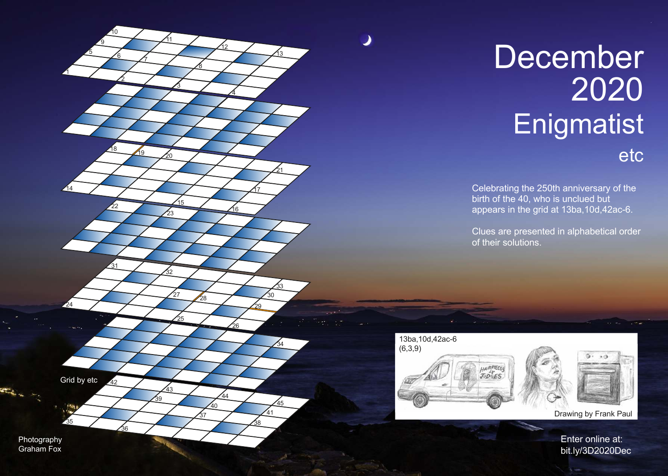## December **Enigmatist** etc

Celebrating the 250th anniversary of the birth of the 40, who is unclued but appears in the grid at 13ba, 10d, 42ac-6.

Clues are presented in alphabetical order of their solutions.





Drawing by Frank Paul

Enter online at: bit.ly/3D2020Dec



Photography Graham Fox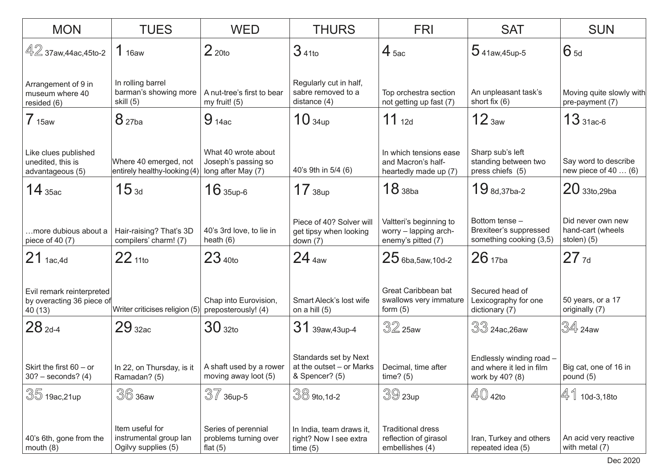| <b>MON</b>                                                        | <b>TUES</b>                                                      | <b>WED</b>                                                       | <b>THURS</b>                                                        | <b>FRI</b>                                                             | <b>SAT</b>                                                              | <b>SUN</b>                                            |
|-------------------------------------------------------------------|------------------------------------------------------------------|------------------------------------------------------------------|---------------------------------------------------------------------|------------------------------------------------------------------------|-------------------------------------------------------------------------|-------------------------------------------------------|
| $42$ 37aw,44ac,45to-2                                             | 1 <sub>16aw</sub>                                                | 2 <sub>20to</sub>                                                | $341$ to                                                            | $4_{5ac}$                                                              | $5$ 41aw, 45up-5                                                        | $6_{5d}$                                              |
| Arrangement of 9 in<br>museum where 40<br>resided (6)             | In rolling barrel<br>barman's showing more<br>skill (5)          | A nut-tree's first to bear<br>my fruit! $(5)$                    | Regularly cut in half,<br>sabre removed to a<br>distance $(4)$      | Top orchestra section<br>not getting up fast (7)                       | An unpleasant task's<br>short fix $(6)$                                 | Moving quite slowly with<br>pre-payment (7)           |
| 7 <sub>15aw</sub>                                                 | 8 <sub>27ba</sub>                                                | $9_{14ac}$                                                       | 10 <sub>34up</sub>                                                  | 11 $_{12d}$                                                            | 12 <sub>3aw</sub>                                                       | $13_{31ac-6}$                                         |
| Like clues published<br>unedited, this is<br>advantageous (5)     | Where 40 emerged, not<br>entirely healthy-looking (4)            | What 40 wrote about<br>Joseph's passing so<br>long after May (7) | 40's 9th in 5/4 (6)                                                 | In which tensions ease<br>and Macron's half-<br>heartedly made up (7)  | Sharp sub's left<br>standing between two<br>press chiefs (5)            | Say word to describe<br>new piece of $40$ (6)         |
| $14$ 35ac                                                         | 15 <sub>3d</sub>                                                 | $16$ 35up-6                                                      | 17 <sub>38up</sub>                                                  | 18 <sub>38ba</sub>                                                     | $19$ $_{8d,37ba-2}$                                                     | $20$ 33to, 29ba                                       |
| more dubious about a<br>piece of 40 (7)                           | Hair-raising? That's 3D<br>compilers' charm! (7)                 | 40's 3rd love, to lie in<br>heath $(6)$                          | Piece of 40? Solver will<br>get tipsy when looking<br>down $(7)$    | Valtteri's beginning to<br>worry - lapping arch-<br>enemy's pitted (7) | Bottom tense -<br>Brexiteer's suppressed<br>something cooking (3,5)     | Did never own new<br>hand-cart (wheels<br>stolen) (5) |
| $21$ 1ac, 4d                                                      | $22_{110}$                                                       | 23 <sub>40to</sub>                                               | 24 <sub>4aw</sub>                                                   | $25$ 6ba, 5aw, 10d-2                                                   | 26 <sub>17ba</sub>                                                      | $27$ 7d                                               |
| Evil remark reinterpreted<br>by overacting 36 piece of<br>40 (13) | Writer criticises religion (5)                                   | Chap into Eurovision,<br>preposterously! (4)                     | Smart Aleck's lost wife<br>on a hill $(5)$                          | Great Caribbean bat<br>swallows very immature<br>form $(5)$            | Secured head of<br>Lexicography for one<br>dictionary (7)               | 50 years, or a 17<br>originally (7)                   |
| $28_{2d-4}$                                                       | 29 <sub>32ac</sub>                                               | 30 <sub>32to</sub>                                               | 31 39aw, 43up-4                                                     | $32$ 25aw                                                              | 33 24ac,26aw                                                            | I34 24aw                                              |
| Skirt the first 60 - or<br>$30? - seconds? (4)$                   | In 22, on Thursday, is it<br>Ramadan? (5)                        | A shaft used by a rower<br>moving away loot (5)                  | Standards set by Next<br>at the outset - or Marks<br>& Spencer? (5) | Decimal, time after<br>time? (5)                                       | Endlessly winding road -<br>and where it led in film<br>work by 40? (8) | Big cat, one of 16 in<br>pound $(5)$                  |
| 35 19ac, 21up                                                     | $36$ 36aw                                                        | $\sqrt[3]{7}$ 36up-5                                             | $\sqrt[3]{ }$ 9to,1d-2                                              | $39$ 23up                                                              | $\mathbb{4}0$ 42to                                                      | 41<br>10d-3,18to                                      |
| 40's 6th, gone from the<br>mouth $(8)$                            | Item useful for<br>instrumental group lan<br>Ogilvy supplies (5) | Series of perennial<br>problems turning over<br>flat $(5)$       | In India, team draws it,<br>right? Now I see extra<br>time(5)       | <b>Traditional dress</b><br>reflection of girasol<br>embellishes (4)   | Iran, Turkey and others<br>repeated idea (5)                            | An acid very reactive<br>with metal (7)               |